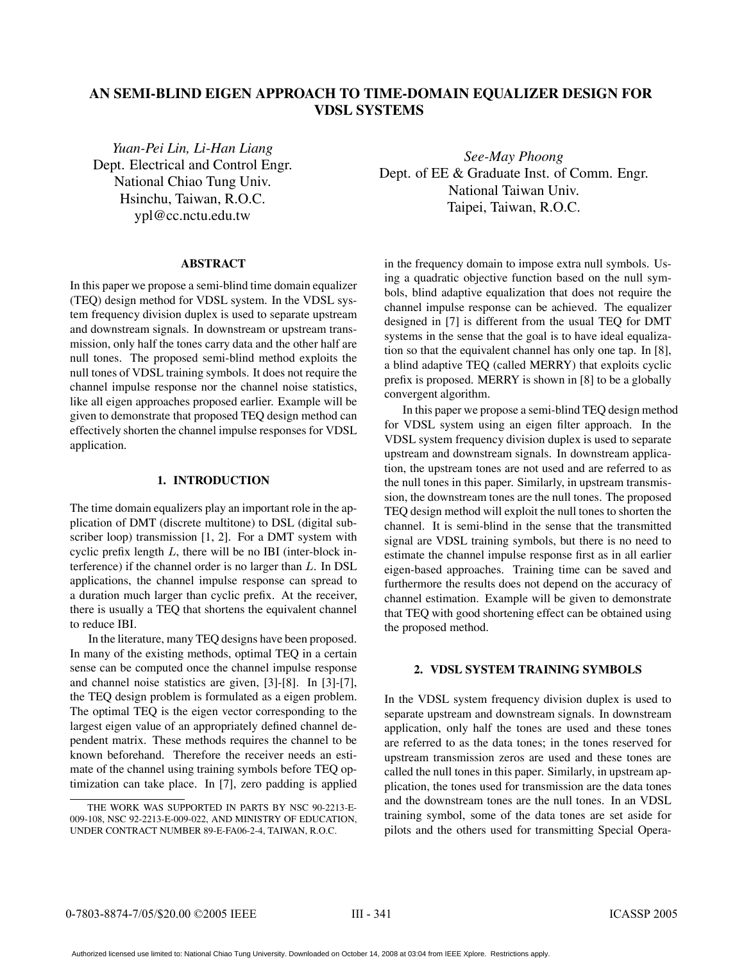# **AN SEMI-BLIND EIGEN APPROACH TO TIME-DOMAIN EQUALIZER DESIGN FOR VDSL SYSTEMS**

*Yuan-Pei Lin, Li-Han Liang* Dept. Electrical and Control Engr. National Chiao Tung Univ. Hsinchu, Taiwan, R.O.C. ypl@cc.nctu.edu.tw

#### **ABSTRACT**

In this paper we propose a semi-blind time domain equalizer (TEQ) design method for VDSL system. In the VDSL system frequency division duplex is used to separate upstream and downstream signals. In downstream or upstream transmission, only half the tones carry data and the other half are null tones. The proposed semi-blind method exploits the null tones of VDSL training symbols. It does not require the channel impulse response nor the channel noise statistics, like all eigen approaches proposed earlier. Example will be given to demonstrate that proposed TEQ design method can effectively shorten the channel impulse responses for VDSL application.

## **1. INTRODUCTION**

The time domain equalizers play an important role in the application of DMT (discrete multitone) to DSL (digital subscriber loop) transmission [1, 2]. For a DMT system with cyclic prefix length  $L$ , there will be no IBI (inter-block interference) if the channel order is no larger than  $L$ . In DSL applications, the channel impulse response can spread to a duration much larger than cyclic prefix. At the receiver, there is usually a TEQ that shortens the equivalent channel to reduce IBI.

In the literature, many TEQ designs have been proposed. In many of the existing methods, optimal TEQ in a certain sense can be computed once the channel impulse response and channel noise statistics are given, [3]-[8]. In [3]-[7], the TEQ design problem is formulated as a eigen problem. The optimal TEQ is the eigen vector corresponding to the largest eigen value of an appropriately defined channel dependent matrix. These methods requires the channel to be known beforehand. Therefore the receiver needs an estimate of the channel using training symbols before TEQ optimization can take place. In [7], zero padding is applied

*See-May Phoong* Dept. of EE & Graduate Inst. of Comm. Engr. National Taiwan Univ. Taipei, Taiwan, R.O.C.

in the frequency domain to impose extra null symbols. Using a quadratic objective function based on the null symbols, blind adaptive equalization that does not require the channel impulse response can be achieved. The equalizer designed in [7] is different from the usual TEQ for DMT systems in the sense that the goal is to have ideal equalization so that the equivalent channel has only one tap. In [8], a blind adaptive TEQ (called MERRY) that exploits cyclic prefix is proposed. MERRY is shown in [8] to be a globally convergent algorithm.

In this paper we propose a semi-blind TEQ design method for VDSL system using an eigen filter approach. In the VDSL system frequency division duplex is used to separate upstream and downstream signals. In downstream application, the upstream tones are not used and are referred to as the null tones in this paper. Similarly, in upstream transmission, the downstream tones are the null tones. The proposed TEQ design method will exploit the null tones to shorten the channel. It is semi-blind in the sense that the transmitted signal are VDSL training symbols, but there is no need to estimate the channel impulse response first as in all earlier eigen-based approaches. Training time can be saved and furthermore the results does not depend on the accuracy of channel estimation. Example will be given to demonstrate that TEQ with good shortening effect can be obtained using the proposed method.

# **2. VDSL SYSTEM TRAINING SYMBOLS**

In the VDSL system frequency division duplex is used to separate upstream and downstream signals. In downstream application, only half the tones are used and these tones are referred to as the data tones; in the tones reserved for upstream transmission zeros are used and these tones are called the null tones in this paper. Similarly, in upstream application, the tones used for transmission are the data tones and the downstream tones are the null tones. In an VDSL training symbol, some of the data tones are set aside for pilots and the others used for transmitting Special Opera-

THE WORK WAS SUPPORTED IN PARTS BY NSC 90-2213-E-009-108, NSC 92-2213-E-009-022, AND MINISTRY OF EDUCATION, UNDER CONTRACT NUMBER 89-E-FA06-2-4, TAIWAN, R.O.C.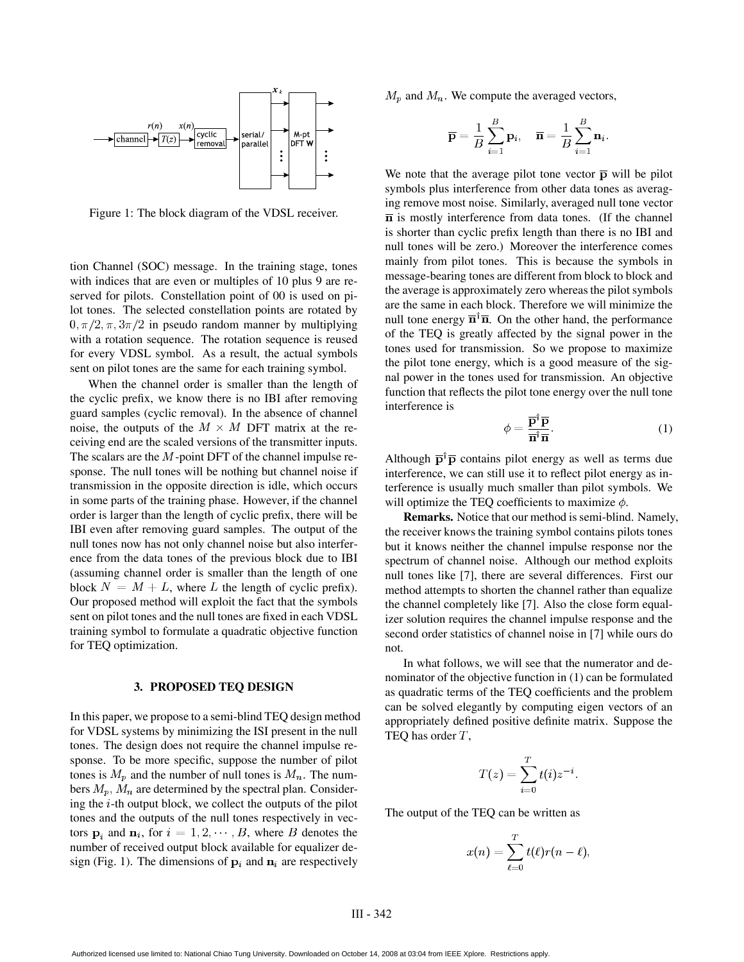

Figure 1: The block diagram of the VDSL receiver.

tion Channel (SOC) message. In the training stage, tones with indices that are even or multiples of 10 plus 9 are reserved for pilots. Constellation point of 00 is used on pilot tones. The selected constellation points are rotated by  $0, \pi/2, \pi, 3\pi/2$  in pseudo random manner by multiplying with a rotation sequence. The rotation sequence is reused for every VDSL symbol. As a result, the actual symbols sent on pilot tones are the same for each training symbol.

When the channel order is smaller than the length of the cyclic prefix, we know there is no IBI after removing guard samples (cyclic removal). In the absence of channel noise, the outputs of the  $M \times M$  DFT matrix at the receiving end are the scaled versions of the transmitter inputs. The scalars are the  $M$ -point DFT of the channel impulse response. The null tones will be nothing but channel noise if transmission in the opposite direction is idle, which occurs in some parts of the training phase. However, if the channel order is larger than the length of cyclic prefix, there will be IBI even after removing guard samples. The output of the null tones now has not only channel noise but also interference from the data tones of the previous block due to IBI (assuming channel order is smaller than the length of one block  $N = M + L$ , where L the length of cyclic prefix). Our proposed method will exploit the fact that the symbols sent on pilot tones and the null tones are fixed in each VDSL training symbol to formulate a quadratic objective function for TEQ optimization.

#### **3. PROPOSED TEQ DESIGN**

In this paper, we propose to a semi-blind TEQ design method for VDSL systems by minimizing the ISI present in the null tones. The design does not require the channel impulse response. To be more specific, suppose the number of pilot tones is  $M_p$  and the number of null tones is  $M_n$ . The numbers  $M_p$ ,  $M_n$  are determined by the spectral plan. Considering the  $i$ -th output block, we collect the outputs of the pilot tones and the outputs of the null tones respectively in vectors  $\mathbf{p}_i$  and  $\mathbf{n}_i$ , for  $i = 1, 2, \dots, B$ , where B denotes the number of received output block available for equalizer design (Fig. 1). The dimensions of  ${\bf p}_i$  and  ${\bf n}_i$  are respectively

 $M_p$  and  $M_n$ . We compute the averaged vectors,

$$
\overline{\mathbf{p}} = \frac{1}{B}\sum_{i=1}^B \mathbf{p}_i, \quad \overline{\mathbf{n}} = \frac{1}{B}\sum_{i=1}^B \mathbf{n}_i.
$$

We note that the average pilot tone vector  $\bar{p}$  will be pilot symbols plus interference from other data tones as averaging remove most noise. Similarly, averaged null tone vector  $\overline{n}$  is mostly interference from data tones. (If the channel is shorter than cyclic prefix length than there is no IBI and null tones will be zero.) Moreover the interference comes mainly from pilot tones. This is because the symbols in message-bearing tones are different from block to block and the average is approximately zero whereas the pilot symbols are the same in each block. Therefore we will minimize the null tone energy  $\overline{n}^{\dagger} \overline{n}$ . On the other hand, the performance of the TEQ is greatly affected by the signal power in the tones used for transmission. So we propose to maximize the pilot tone energy, which is a good measure of the signal power in the tones used for transmission. An objective function that reflects the pilot tone energy over the null tone interference is

$$
\phi = \frac{\overline{\mathbf{p}}^{\dagger} \overline{\mathbf{p}}}{\overline{\mathbf{n}}^{\dagger} \overline{\mathbf{n}}}.
$$
 (1)

Although  $\bar{p}^{\dagger} \bar{p}$  contains pilot energy as well as terms due interference, we can still use it to reflect pilot energy as interference is usually much smaller than pilot symbols. We will optimize the TEQ coefficients to maximize  $\phi$ . will optimize the TEQ coefficients to maximize  $\phi$ .

**Remarks.** Notice that our method is semi-blind. Namely, the receiver knows the training symbol contains pilots tones but it knows neither the channel impulse response nor the spectrum of channel noise. Although our method exploits null tones like [7], there are several differences. First our method attempts to shorten the channel rather than equalize the channel completely like [7]. Also the close form equalizer solution requires the channel impulse response and the second order statistics of channel noise in [7] while ours do not.

In what follows, we will see that the numerator and denominator of the objective function in (1) can be formulated as quadratic terms of the TEQ coefficients and the problem can be solved elegantly by computing eigen vectors of an appropriately defined positive definite matrix. Suppose the TEQ has order  $T$ ,

$$
T(z)=\sum_{i=0}^T t(i)z^{-i}.
$$

. .

The output of the TEQ can be written as

$$
x(n)=\sum_{\ell=0}^T t(\ell)r(n-\ell),
$$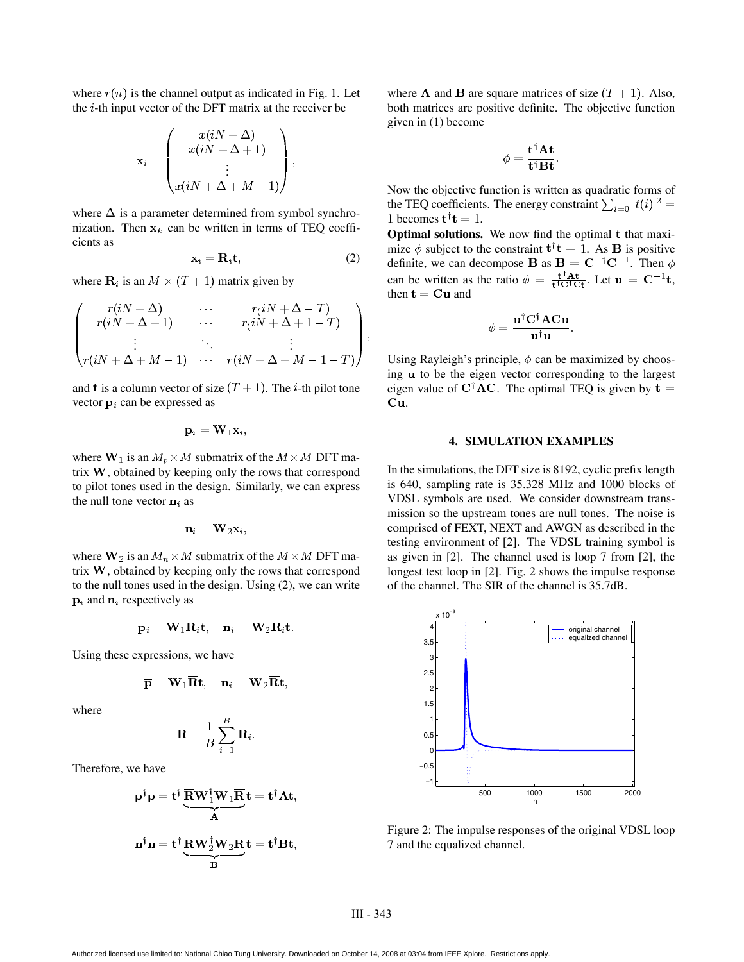where  $r(n)$  is the channel output as indicated in Fig. 1. Let the  $i$ -th input vector of the DFT matrix at the receiver be

$$
\mathbf{x}_{i} = \begin{pmatrix} x(iN + \Delta) \\ x(iN + \Delta + 1) \\ \vdots \\ x(iN + \Delta + M - 1) \end{pmatrix},
$$

where  $\Delta$  is a parameter determined from symbol synchronization. Then  $x_k$  can be written in terms of TEQ coefficients as

$$
\mathbf{x}_i = \mathbf{R}_i \mathbf{t},\tag{2}
$$

where  $\mathbf{R}_i$  is an  $M \times (T + 1)$  matrix given by

$$
\begin{pmatrix}\nr(iN+\Delta) & \cdots & r(iN+\Delta-T) \\
r(iN+\Delta+1) & \cdots & r(iN+\Delta+1-T) \\
\vdots & \ddots & \vdots \\
r(iN+\Delta+M-1) & \cdots & r(iN+\Delta+M-1-T)\n\end{pmatrix},
$$

and t is a column vector of size  $(T + 1)$ . The *i*-th pilot tone vector  $\mathbf{p}_i$  can be expressed as

$$
\mathbf{p}_i = \mathbf{W}_1 \mathbf{x}_i,
$$

where  $W_1$  is an  $M_p \times M$  submatrix of the  $M \times M$  DFT matrix  $W$ , obtained by keeping only the rows that correspond to pilot tones used in the design. Similarly, we can express the null tone vector  $\mathbf{n}_i$  as

$$
\mathbf{n}_i = \mathbf{W}_2 \mathbf{x}_i,
$$

where  $W_2$  is an  $M_n \times M$  submatrix of the  $M \times M$  DFT matrix  $W$ , obtained by keeping only the rows that correspond to the null tones used in the design. Using (2), we can write  $\mathbf{p}_i$  and  $\mathbf{n}_i$  respectively as

$$
\mathbf{p}_i = \mathbf{W}_1 \mathbf{R}_i \mathbf{t}, \quad \mathbf{n}_i = \mathbf{W}_2 \mathbf{R}_i \mathbf{t}.
$$

Using these expressions, we have

$$
\overline{\mathbf{p}} = \mathbf{W}_1 \overline{\mathbf{R}} \mathbf{t}, \quad \mathbf{n}_i = \mathbf{W}_2 \overline{\mathbf{R}} \mathbf{t},
$$

where

$$
\overline{\mathbf{R}}=\frac{1}{B}\sum_{i=1}^B \mathbf{R}_i.
$$

Therefore, we have

$$
\overline{\mathbf{p}}^{\dagger}\overline{\mathbf{p}} = \mathbf{t}^{\dagger} \underbrace{\overline{\mathbf{R}} \mathbf{W}_{1}^{\dagger} \mathbf{W}_{1} \overline{\mathbf{R}}}_{\mathbf{A}} \mathbf{t} = \mathbf{t}^{\dagger} \mathbf{A} \mathbf{t},
$$
\n
$$
\overline{\mathbf{n}}^{\dagger} \overline{\mathbf{n}} = \mathbf{t}^{\dagger} \underbrace{\overline{\mathbf{R}} \mathbf{W}_{2}^{\dagger} \mathbf{W}_{2} \overline{\mathbf{R}}}_{\mathbf{B}} \mathbf{t} = \mathbf{t}^{\dagger} \mathbf{B} \mathbf{t},
$$

where **A** and **B** are square matrices of size  $(T + 1)$ . Also, both matrices are positive definite. The objective function given in (1) become

$$
\phi = \frac{\mathbf{t}^\intercal \mathbf{A} \mathbf{t}}{\mathbf{t}^\dagger \mathbf{B} \mathbf{t}}.
$$

Now the objective function is written as quadratic forms of the TEQ coefficients. The energy constraint  $\sum_{i=0} |t(i)|^2$  = 1 becomes  $\mathbf{t}^\dagger \mathbf{t} = 1$ .

**Optimal solutions.** We now find the optimal t that maximize  $\phi$  subject to the constraint  $\mathbf{t}^\dagger \mathbf{t} = 1$ . As **B** is positive definite, we can decompose **B** as  $B = C^{-\dagger}C^{-1}$ . Then  $\phi$ can be written as the ratio  $\phi = \frac{t^{\dagger}At}{t^{\dagger}C^{\dagger}C^{\dagger}}$ . Let  $u = C^{-1}t$ , - -: ; then  $\mathbf{t} = \mathbf{C} \mathbf{u}$  and

$$
\phi=\frac{{\bf u}^\dagger{\bf C}^\dagger{\bf A}{\bf C}{\bf u}}{\bf u}^\dagger{\bf u}.
$$

Using Rayleigh's principle,  $\phi$  can be maximized by choosing **u** to be the eigen vector corresponding to the largest eigen value of  $C^{\dagger}AC$ . The optimal TEQ is given by  $t =$ Cu.

## **4. SIMULATION EXAMPLES**

In the simulations, the DFT size is 8192, cyclic prefix length is 640, sampling rate is 35.328 MHz and 1000 blocks of VDSL symbols are used. We consider downstream transmission so the upstream tones are null tones. The noise is comprised of FEXT, NEXT and AWGN as described in the testing environment of [2]. The VDSL training symbol is as given in [2]. The channel used is loop 7 from [2], the longest test loop in [2]. Fig. 2 shows the impulse response of the channel. The SIR of the channel is 35.7dB.



Figure 2: The impulse responses of the original VDSL loop 7 and the equalized channel.

Authorized licensed use limited to: National Chiao Tung University. Downloaded on October 14, 2008 at 03:04 from IEEE Xplore. Restrictions apply.